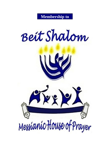

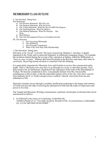# **MEMBERSHIP CLASS OUTLINE**

I. Our Salvation: Being Sure.

Our Statements

- a) Our Premise Statement: Who We Are
- b) Our Purpose Statement: Why We Exist
- c) Our Vision Statement: What We Do to Fulfill Our Purpose
- d) Our Faith Statement: What We Believe
- e) Our Method Statement: What We Practice . Our Story
- a) Brief History
- b) Our Life Development Process to Facilitate Growth

IV. Our Structure

- a. Our Governing Philosophy
- b. Our Affiliation
- c. Our Personal Commitment
- d. What is My Next Step After Membership?

1. Our Salvation: Being Sure

Salvation, to be "saved," is Jewish. The issue of receiving Hashem's salvation is deeply ingrained in the Torah, and is expressed frequently in traditional synagogue liturgy. For example, the recitation chanted during the waving of the vegetation at Sukkot, called the HaShannah, is, "Save us, now, we pray." Hashem delivered His people at the Red Sea, and many other times in our history. Receiving eternal salvation is consistent with this thinking.

It is particularly important for Messianic Jews and Gentiles to receive this concept and reality aright. That is, Messianic Jews may have to go through two crises, to start their journey. First, there needs to be an intellectual completion to the realization of the truth of the Messiahship of Yeshua. We become completed as Jews. Conceptually distinct from this, but possibly simultaneous to this in time, is that the individual repents of his or her sins. Jews don't convert from Judaism, but it's a Torah concept to have a radical *t'shuvah* conversion from sin and unholiness of life.

Messianic Gentiles can go through a corollary intellectual awakening to the beauty and richness of Torah, but miss the step of receiving the spiritual new birth into the realm of forgiveness and power to live holy.

The Tanakh and Messianic Writings communicate a spiritual, eternal plan of salvation that can be summarized as follows.

1. G-d Himself is the source of a satisfying, worthwhile life. Tehillim (Psalm) 16:11 "You make me know the path of life; in your presence is unbounded joy, in your right hand eternal delight."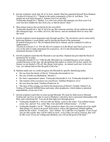- 2. Jewish scriptures teach that all of us have sinned. Man has separated himself from Hashem. Vayikra (Leviticus) 19:2 ""Speak to the entire community of Isra'el; tell them, 'You people are to be holy because I, Adonai your G-d, am holy." Yeshayahu (Isaiah) 59:2 "Rather, it is your own crimes that separate you from your G-d; your sins have hidden his face from you, so that he doesn't hear."
- 3. Man cannot remove the sin barrier by his own effort. Yeshayahu (Isaiah) 64:6 "(64:5) All of us are like someone unclean, all our righteous deeds like menstrual rags; we wither, all of us, like leaves; and our misdeeds blow us away like the wind."
- 4. Jewish scriptures teach atonement only through sacrifice. The sin barrier can be removed by believing Hashem's word (faith), and by having the blood of the atonement. B'resheet (Genesis) 15.6 "He [Avraham] believed in Adonai, and he credited it to him as righteousness." Vayikra (Leviticus) 17:11 "For the life of a creature is in the blood, and I have given it to you on the altar to make atonement for yourselves; for it is the blood that makes atonement because of the life.'
- 5. Jewish scriptures teach that the Messiah is our sacrifice. Hashem has provided the blood of atonement for us today. Yeshayahu (Isaiah) 53: 5-6 "5 But he [the Messiah] was wounded because of our crimes,

crushed because of our sins; the disciplining that makes us whole fell on him, and by his bruises we are healed. 6 We all, like sheep, went astray; we turned, each one, to his own way; yet Adonai laid on him the guilt of all of us."

- 6. Hashem made sure we could recognize the Messiah by specific identifyingmarks.
	- He was from the family of David. Yirmeyahu (Jeremiah) 23:5-6
	- His city of birth was Bethlehem. Micah 5:1
	- He had a supernatural nature. Yirmeyahu (Jeremiah) 23:5-6, Yeshayahu (Isaiah) 9:5-6
	- The manner of his execution was crucifixion. Tehillim (Psalm) 22: 14-17
	- He rose from the dead. Tehillim (Psalm) 16:10

 The time of His coming was before the destruction of Herod's Temple. Daniel 9:26 Yeshua of Nazareth fulfilled these and many other prophecies, which makes a statistical improbability of one out of 10!!

- 7. Jewish scriptures teach that we must accept Messiah. We must by faith receive Messiah Yeshua into our lives in order to receive Hashem's salvation, have a personal relationship with Him, and a satisfying life. You can do that right now through prayer.
	- Yeshayahu (Isaiah) 55:1 All you who are thirsty, come to the water! You without money, come, buy, and eat! Yes, come! Buy wine and milk without money—it's free!
	- Yeshayahu (Isaiah) 1:16-19 ""Wash yourselves clean! Get your evil deeds out of my sight! Stop doing evil, learn to do good! Seek justice, relieve the oppressed, defend orphans, plead for the widow. "Come now, "says Adonai, "let's talk this over together. Even if your sins are like scarlet, they will be white as snow; even if they are red as crimson, they will be like wool. If you are willing and obedient, you will eat the good of the land;"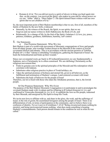• Romans 8:15-16 "For you did not receive a spirit of slavery to bring you back again into fear; on the contrary, you received the Spirit, who makes us sons and by whose power we cry out, "Abba!" (that is, "Dear Father!"). The Spirit himself bears witness with our own spirits that we are children of G-d;"

So, the most important point of Beit Shalom membership is that we are, first of all, members of the family of Hashem by the new birth, evidenced:

- Internally, by the witness of the Ruach, the Spirit, to our spirits, that we are forgiven and our names written in Sefer HaKhiyeem, the Book of Life, and
- Relationally, by a change of life, by the fruit of the Spirit, Galatians 5:22 love, joy, peace, patience, kindness, goodness, faithfulness, humility, self- control.

# $\iint_{a}$  Our Statements:

# Our Premise Statement: Who We Are

Beit Shalom is part of a world-wide movement of Messianic congregations of Jews and people from all ethnic groups, who worship Yeshua (Jesus) as the Messiah in the context of Jewish covenantal lifestyle and identity. This is in accordance with the ancient promise of Tehillim (Psalm) 147:2-3 that "Adonai is rebuilding Yerushalayim, gathering the dispersed of Israel. He heals the brokenhearted and binds up their wounds."

Since our covenantal roots go back to B'resheet(Genesis)12,we are fundamentally a Judaism, not a Christianity as is often construed. We are defining Christianity asthe religious movement that:

- Finds its genuine core in the spiritual principles of the Messiah and His redemption which correlates with Judaism.
- Substitutes other religious practice in place of Torah holidays, etc.
- Takes the spiritual promises of holiness and eternal life, given to all believers, as the fulfillment and termination of Hashem's unique, Land-centered covenant with Israel.
- Substitutes the body of believers for the people of Israel

Therefore, our lot is fixed with those who share the Abrahamic promises, that is, the Jewish people.

# b) Our Purpose Statement: Why We Exist

The purpose of the Beit Shalom Messianic Congregation is to participate in and to promulgate the covenant Hashem made with Avraham and his offspring in B'resheet (Genesis) 12:1-4, and confirmed in Yirmeyahu (Jeremiah) 31:2-4, 31-37, to establish the Jews as His people, redeemed by their Messiah, and energized by His Spirit to keep His Torah.

We invite non-Jews to affiliate with us, and share in the glory, the work, and the sufferings of Israel, in the role of gerim, the assimilated foreigners among the people of Israel. There is no differentiation of role, in terms of participation in the community, and we believe there is no confusion of identity. For as it says in 1Corinthians 7:19-20 "Being circumcised means nothing [in eternity], and being uncircumcised means nothing; what does mean something is keeping Hashem's commandments. Each person should remain in the condition he was in when he was called."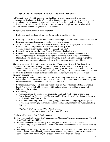# c) Our Vision Statement: What We Do to Fulfill OurPurpose

In Mishlei (Proverbs) 29:18 quoted above, the Hebrew word transliterated yipaara can be understood as "to abandon, disturb." Therefore it is crucial for a congregation to be focused on accomplishing its vision and purpose, so it is energized and functional, not disturbed and dissipated. Those who mentor leaders urge us to summarize. People don't remember whole sermons, they remember key phrases and statements.

Therefore, the vision summary for Beit Shalom is:

Building a pipeline of Jewish Yeshua Renewal, fulfilling Romans 11:15

- Building: all are [or should be] actively involved -- in prayer, spirit, word, sacrifice, and action
- Pipeline: a connected sequence of works of love and blessing.
- Jewish our heart is to bless the Jewish people, first of all. All peoples are welcome at Beit Shalom, but our passion is to bless and be blessed byIsrael.
- Yeshua: without Him we are nothing. Yochanan (John) 15:4
- Renewal: our work must be in the Ruach, Z'kharyah (Zechariah) 4:6
- Romans 11:15 When Jews believe in their Messiah and live Jewishly, doing so fulfills Hashem's purposes and releases a blessing to all the world. When Jews believe in their Messiah, and assimilate into the church world, they do not participate in the power of this promise of scripture, and in fact, contribute to the diminution and demise of Israel.

The outworking of this is to follow the *words* of the Tanakh and Messianic Writings. These inspired words are summarized by the Messiah when He was asked which is the greatest commandment Mark 12:29-31. He responded by reciting the Sh'ma and the V'ahavta Devarim (Deuteronomy) 6:4-5, to which He joined Vayikra (Leviticus) 19:18. The Torah commands are that we are to love Hashem with all our heart, mind, soul, and strength, and we are to love our neighbors as ourselves.

- By evangelism: leading our children and our surrounding Jewish and non-Jewish community to the Messiah and His resurrection power in the Ruach HaKodesh. Personal relationship and intimacy with the Messiah and the Ruach is the first task.
- By Messianic Jewish, Torah centered worship and lifestyle, which reflects Hashem's love of Israel Yochanan (John) 4:22, Romans 11:18), and provides a spiritual home for Jewish believers in the Messiah.
- By educating:
	- $\circ$  Communicating the vision of the covenantal torch and Torah living. L'dor va-dor.
	- $\circ$  Imparting at least the portions of the vast wealth of Jewish knowledge that are relevant to understand Tanakh and Messiah.
	- o Community building: men's khavurah [group], sisterhood, youth group, home groups, counseling, encouraging individuals in their callings and giftings in the Ruach, assisting the poor.

D) Our Faith Statement: What We Believe A-nee ma-a-meen beh-eh-mu-nah sh'lay-ma

"I believe with a perfect faith." [Maimonides]

- 1. We believe in the Scripture [the Tanakh and the Messianic Writings] as the inspired Word of G-d. Tehillim (Psalm) 119:105
- 2. We acknowledge the uni-plurality of Adonai, yet that He is also One. Devarim (Deuteronomy) 6:4. (a supra-rational, but not irrational understanding of HaKadosh, the Holy One.)
- 3. We recognize the deity, virgin birth (miraculous births were not uncommon in the Tanakh, such as Sarah's son Yitzchak, Hannah's son Shmuel, etc.), miracles, sinless life, vicarious death, resurrection, ascension, and expected return of the Messiah Yeshua.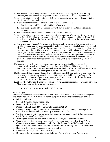- 4. We believe in the atoning death of the Messiah as our own kapparah, our atoning sacrifice, and experienced the regeneration of the Holy Spirit. Yeshayahu (Isaiah) 53
- 5. We believe in the indwelling of the Holy Spirit, empowering us to live a holy and effective life. Yirmeyahu (Jeremiah) 31:33
- 6. We understand that there is a life to follow this one. Daniel 12:2-3
	- a. For the saved it will be eternity in Hashem's presence.
	- b. For those separated from Hashem, they will stay eternally separated in a condition of damnation.
- 7. We believe we are in unity with all believers, Gentile or Jewish.
- 8. We believe there is a scriptural process of conflict resolution. When a conflict arises, we will go to the individual in a loving, appreciative spirit, and try to get reconciliation. If that fails, we will seek the help of the "one or two" intermediaries appointed by the elders Mattityahu (Matthew) 18:15-18.
- 9. We affirm that *Yahadut*, Jewishness, is fundamentally a sense of the calling of G-d to fulfill the human side of the covenants G-d made with Avraham, Yitzchak, and Yaakov, and Moshe. G-d is keeping His side of the covenants, which center on the command and promise that Israel should serve Hashem to all generations, as Israel, with rights to the Land and other blessings (B'resheet (Genesis) 12:1-3, Yirmeyahu (Jeremiah) 33:25–26). Faith in the Messiah of Israel in no way conflicts with these covenants. Hashem also prompts Gentile people to identify with the Jews, as did Ruth, to bless, help, and serve Hashem Yeshayahu (Isaiah) 49:22. It is appropriate for Messianics, Jewish and Gentile, to be identifiably Jewish in practice.
- 10.In accordance with Jewish custom, as observed by the Messiah Himself, we will use circumlocutions such as "Adonai" in place of the sacred Name of Hashem,. i.e., the Tetragrammaton. That is, we will say such terms as "HaShem" or "Adonai" and avoid using "Yahweh" or "Jehovah" or other speculative pronunciations of the YHVH.
- 11.The tribes of Ephraim and Manasseh are not the nations of Britain and the United States. In general, the 12 tribes have been absorbed into the people called by the term "Jews." For example, in the book of Ester "[there] was a Jew, whose name was Mordechai the son of Yahir, the son of Shim'i, the son of Kish, a Binyamin."
- 12.Those who rightly call themselves Jews are of Jewish descent or formal conversion. Thus far, Messianics have not done formal conversions.
	- e) Our Method Statement: What We Practice

Worship Style

Our goal is to worship Hashem in Spirit and in Truth-that is, Judaically, as defined in scripture and interpreted over the millennia. Therefore our pattern of worship includes such items as:

- Biblical holidays
- Sabbath [Saturday] as our worship day
- Banners Tehillim (Psalm) 20:5, 60.4
- Dance Tehillim (Psalm) 149:3, Yirmeyahu (Jeremiah) 31:13
- Reading or singing of scripture Nekhemyah (Nehemiah) 8:8, including honoring the Torah scroll in procession around the sanctuary (Revelation 1: 12-13)
- Written prayers from the prayer book, the Siddur, of our people, modified as necessary (Acts 6:4 lit. "the prayers," also Acts 3:1)
- Wearing the 'fringes' of Bamidbar (Numbers) 15:38-40, as a "garment ofpraise"
- Wearing of the *kippah* (the skullcap, which takes its scriptural precedent from Sh'mot (Exodus) 28:1-4, its rabbinical authenticity from the Talmud (Rosh HaShannah 17b) as a symbol of humility before Hashem, and its Jewish cultural validity from I Corinthians 9:20)
- Hebrew in the prose and poetry, as much as possible.
- Reverence for the place and time of worship
- Dressing up for synagogue attendance. Tehillim (Psalm) 29:2 Worship Adonai in holy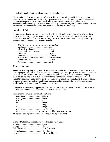splendor hadrat kodesh, holy attire of beauty and modesty

These and related practices are part of the worship style that King David, the prophets, and the Messiah Himself knew and loved. It is prophesied that such ancient worship would be restored Tz'fanyah (Zephaniah) 3:9, 'Amos 9:11) in the, a-kha-reet ha-ya-meem, the last days. Incorporating these things into worship has been a spontaneous outgrowth of the Jewish spiritual restoration. We experience a great deal of divine joy being Biblical Jews.

#### **Jewish God Talk**

Certain words that are commonly used to describe the Kingdom of the Messiah of Israel, have come to have highly negative nuances to Jewish ears, due to the anti-Semitism of those called Christians. The terms we are recommending for use at Beit Shalom reflect the original richly nuanced Biblical/Hebraic sourcesignificance.

| Messiah or Mashiach Christ                |  |
|-------------------------------------------|--|
|                                           |  |
|                                           |  |
|                                           |  |
| Tanakh or Hebrew scriptures Old Testament |  |
|                                           |  |
|                                           |  |

#### **Hebrew Language**

There is something elegant, powerful, and non-translatable about the Hebrew idiom. It is likely the language of the Garden of Eden, and the only language, in scripture, that Hashem chose to use to speak audibly. For all these reasons, Jews have continued to make Hebrew their language of worship, praise, and prayer. We are committed to making the Hebrew intelligible to all by transliterating it into Latin characters (so it can be pronounced), and translating it, often to be sung to the same melodies, so the thoughts can be expressed as worship. Below is a pronunciation guide, and a glossary of some frequently used terms.

Divine names are usually hyphenated, in conformity to the custom that it would be irreverent to put Hashem's Name on any paper that is likely to be discarded.

Pronunciation Guide to transliterations

| oro is no soft " $\alpha$ " or "i" sound in Hobrow, All " $\alpha$ 's" oro hord |
|---------------------------------------------------------------------------------|

There is no soft "g" or "j" sound, in Hebrew. All "g's" are hard.

| Limited Glossary of Hebrew words frequently used |  |
|--------------------------------------------------|--|
|                                                  |  |
|                                                  |  |
|                                                  |  |
|                                                  |  |
|                                                  |  |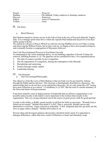Pesach ..........................................Passover Shabbat…………………………The Sabbath, Friday sundown to Saturday sundown Shavuot………………………… Pentecost Sukkot ..........................................Feast of Tabernacles Yeshua..........................................Jesus

III. Our Story:

# a) Brief History

Beit Shalom started in a home service in the Fall of 2014 in the city of Pozzuoli (Puteoli), Naples, Italy. It is a strategic point since this is where the Apostle Paul landed and stayed for seven days before going to Rome.

We started as a House of Prayer (Which we still are), having Shabbat service on Friday evening and observing the Biblical Feasts, but as time went on, we began to have more people joining us, and eventually became a congregation of Messianic believers.

# Our Life Development Processto Facilitate Growth

As mentioned in our vision statement above, we are building a pipeline of Jewish Yeshua-ish renewal, fulfilling Romans 11:15. The pipeline can be considered to have five sequential pieces:

- 1. The inlet of contact, possibly by pre-evangelism.
- 2. The life impartation of evangelism, sharing the redemption of the Messiah.
- 3. Discipleship and mentoring
- 4. Nurture through weekly studies.
- 5. Leadership training.

# IV. Our Structure<br>a) Our Gove

Our Governing Philosophy

The objective of the By-Laws of Beit Shalom is that our body is to be governed by Adonai, through the Rabbi and his advisors. This structure is theologically described as a theocracy. We acknowledge that we do not have a true and perfect theocracy, for we only grasp His will "seeing but a poor reflection as in a mirror" 1 Corinthians 13:12 NIV. But the term is a useful summary of the focus and intent of the government.

It has been stated by some in high positions of leadership that an effective organization is not possible unless loyalty to the leader is more important to the workers than loyalty to the organization. This very strong statement can be the source of great power, both for good and bad.

Loyalty to the leader, or Rabbi, means loyalty to tell him his faults as necessary. "Wounds from a friend can be trusted." Mishlei (Proverbs) 27:6 NIV That is, prayerful, friendly advice and admonition is welcome. Angry criticism is unfruitful. "A hot- tempered man stirs up strife, but the slow to anger calms a dispute." Mishlei (Proverbs) 15:18

Diverse ideas and divergent opinions about policy should be freely aired. It is important to dialogue differences, rather than leave seeds of bitterness to fester and ultimately erupt.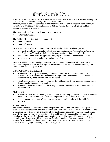### K'hee-lah M'shee-kheet Beit Shalom Beit Shalom MessianicCongregation

Foremost in the operation of this Corporation and its By-Laws is the Word of Hashem as taught in the Tanakh and Messianic Writings (Old and New Testaments).

This congregation shall be governed, to the extent that humans can successfully formulate such an institution, as a theocracy, having Hashem at its head with the Rabbi as Shepherd and his appointed Boards as assistants.

The congregational Governing Structure shall consist of

**Board of Directors** 

The Rabbi's Ministering Staff shall consist of:

- Board of Elders
- Board of Deacons

MEMBERSHIP ELIGIBILITY – Individuals shall be eligible for membership who:

- give evidence of their spiritual new birth and faith in Adoneinu Yeshua Ha-Mashiach, our L-rd Yeshua the Messiah, as defined by the congregational Statement of Faith.
- who commit themselves to support this congregation by their attendance and their tithe
- agree to be governed by its By-laws as herein set forth.

Members will be received by signing the commitment, after an interview with the Rabbi or someone delegated by him, and taking such discipleship classes as shall be determined by the Rabbi or someone delegated by him.

# DISCIPLINE OF MEMBERSHIP –

- Members out of unity with the body or are not submissive to the Rabbi and/or staff (Proverbs) 6:16-19 shall be approached according to Mattityahu (Matthew) 18:15-18 with final decision by Rabbi in counsel with the Board.
- Membership is subject to yearly review by the Rabbi and the Board and may be renewed, or discontinued if the member is inactive.
- Membership may be terminated after 30 days' notice if the reconciliation process above is not successful.

# MEETINGS

- There shall be an annual meeting of the members of the congregation at which time financial and other reports shall be read. The time and place to be announced by the Rabbi.
- Special business meetings of the congregation may be called only with the Rabbi's approval.

# RABBI'S ROLE

The Rabbi is elected to serve for an indefinite period of time. The Rabbi shall be the spiritual overseer of the congregation and shall direct all of its activities. He shall be the President of the Corporation and shall act as chairman of all the business meetings of the congregation and also of the Board of Directors, Board of Elders and Board of, Deacons. He shall appoint all members of the various Boards in the congregation. He shall be an ex-officio member of all committees or departments. He shall provide for all the services of the congregation and shall arrange for all special meetings, conventions, or concerts. No person shall be invited to speak or preach in the congregational body without his approval.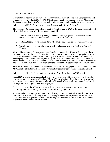# b) Our Affiliation

Beit Shalom is applying to be part of the International Alliance of Messianic Congregations and Synagogues [IAMCS] in 2019. The IAMCS is the congregational association of the Messianic Jewish Alliance of America [MJAA], which is a fellowship of individuals and not congregations.

#### What is the MJAA? [Transcribed from MJAA website MJAA.org]

The Messianic Jewish Alliance of America (MJAA), founded in 1915, is the largest association of Messianic Jews in the world. Its purpose is threefold:

- 1. To testify to the large and growing number of Jewish people who believe that Yeshua (Jesus) is the promised Jewish Messiah and Savior of the world;
- 2. To bring together Jews and non-Jews who have a shared vision for Jewish revival; and
- 3. Most importantly, to introduce our Jewish brothers and sisters to the Jewish Messiah Yeshua.

Why is this necessary? For many centuries Jews have frequently suffered at the hands of those calling themselves followers of Jesus. At the same time, the "Good News" or gospel of Yeshua was often presented without mention of this gospel's roots in Hashem's relationship with His Jewish people throughout Scripture, and His promise of salvation through the Jewish Messiah. These factors lead many Jews to assume that to follow Yeshua is to leave the faith of their fathers and become non-Jews. The MJAA has worked to combat this misperception for nearly 90 years.

Most MJAA members attend independent Messianic Jewish Congregations and Synagogues. The MJAA is also affiliated with Messianic Jewish alliances in fifteen countries, including Israel.

#### What is the IAMCS? [Transcribed from the IAMCS website IAMCS.org]

Since 1967, when Jerusalem came back into Jewish hands, tens of thousands of Jewish people have come into the kingdom of Hashem. Many of these Messianic Jews did not want to assimilate and immediately began to form themselves into Messianic Congregations to retain their Jewish heritage and to be a light to their Jewish people.

By the early 1970's the MJAA was already deeply involved with assisting, encouraging, counseling, and even training leaders for Messianic Congregations.

As more and more congregations were formed, many within the MJAA had a desire to form a fellowship of Messianic Congregations or Synagogues under the auspices of the MJAA. The purpose of such an organization would be to strengthen one another, unite in the L-rd, and work together in this End time Jewish revival.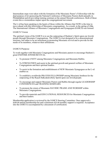Intermediate steps were taken with the formation of the Messianic Pastor's Fellowship with the dual purpose of (1) sponsoring the National Conference of Messianic Pastors (held annually in Philadelphia) and (2) providing training seminars at the annual Messiah conferences. Both of these events have a tremendous impact upon the congregational movement.

The L-rd has been speaking to the hearts of those within the Alliance that NOW is the time to move ahead with this fellowship of Messianic congregations. As a result, in the spring of 1986, The International Alliance of Messianic Congregations and Synagogues (IAMCS) was formed.

# IAMCS Vision

The spiritual vision of the IAMCS is to see the outpouring of Hashem's Spirit upon our Jewish people through Messianic Congregations. The IAMCS is not designed to be a denominational structure, but rather to be an instrument in promoting Messianic revival and to provide for the needs of its members, whatever their affiliations.

# IAMCS Purpose

To work together with Messianic Congregations and Messianic pastors to encourage Hashem's great ENDTIME JEWISH REVIVAL.

- To promote UNITY among Messianic Congregations and MessianicRabbis.
- To STRENGTHEN and assist in the spiritual growth and general welfare of Messianic Congregations and their spiritual leaders.
- To assist in the formation and establishment of NEW Messianic Synagogues as the L-rd enables us.
- To establish a worldwide PRAYER FELLOWSHIP among Messianic brethren for the outpouring of the Ruach HaKodesh (Holy Spirit) upon our Jewishpeople.
- To encourage and support Messianic Pastors and Rabbis through regular LEADERSHIP CONFERENCES and TRAINING SEMINARS.
- To promote the return of Messianic DAVIDIC PRAISE AND WORSHIP within Messianic Congregations.
- To provide materials and EDUCATIONAL RESOURCES for Messianic Congregations and their leaders.

Membership application is reviewed by the IAMCS Steering Committee. Once approved a \$100.00 annual membership fee and a minimum \$25.00 monthly support is required. Acceptance into the IAMCS is accompanied by a document of certification.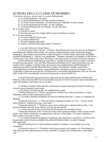# SCHEMA DELLA CLASSE DI MEMBRO

I. La nostra salvezza: essere sicuri. Le nostre dichiarazioni

A. La nostra premessa: chi siamo

B. La nostra dichiarazione di scopo: perché esistiamo

C. La nostra Vision Statement: cosa facciamo per soddisfare il nostro scopo

D. La nostra dichiarazione di fede: ciò che crediamo

E. La nostra dichiarazione sul metodo: ciò che facciamo

III. La nostra storia

A. Una breve storia

B. Il nostro processo di sviluppo della vita per facilitare la crescita

IV. La nostra struttura

A. La nostra filosofia di governo

B. La nostra affiliazione

C. Il nostro impegno personale

D. Qual è il mio prossimo passo dopo l'iscrizione?

1. La nostra Salvezza: Essere Sicuri

La salvezza, per essere "salvati", è Ebraica. Il problema di ricevere la salvezza di Hashem è profondamente radicato nella Torah, ed è espresso frequentemente nella tradizionale liturgia sinagogale. Ad esempio, la recitazione cantata durante lo sventolio della vegetazione di Sukkot, chiamata HaShannah, è, "Salvaci, ora, preghiamo." Hashem consegnò il suo popolo al Mar Rosso e molte altre volte nella nostra storia. Ricevere la salvezza eterna è coerente con questo pensiero.

È particolarmente importante per gli Ebrei e i gentili messianici ricevere questo concetto e la realtà in modo giusto. Cioè, gli Ebrei Messianici potrebbero dover attraversare due crisi, per iniziare il loro viaggio. In primo luogo, deve esserci un completamento intellettuale per la realizzazione della verità del Messianicità di Yeshua. Diventiamo completi come Ebrei. Concettualmente distinto da questo, ma possibilmente simultaneo a questo nel tempo, è che l'individuo si pente dei suoi peccati. Gli Ebrei non si convertono dal giudaismo, ma è un concetto della Torah avere una radicale conversione da peccato e miseria della vita.

I Gentili Messianici possono passare attraverso un risveglio intellettuale corollario alla bellezza e alla ricchezza della Torah, ma perdere il passo di ricevere la nuova nascita spirituale nel regno del perdono e del potere di vivere santi.

Le Scritture Tanakh e Messianiche comunicano un piano spirituale ed eterno di salvezza che può essere riassunto come segue.

1. Dio Stesso è la fonte di una vita soddisfacente e utile.

Tehillim (Salmo) 16:11 "Mi fai conoscere la via della vita; nella tua presenza c'è gioia illimitata, nella tua mano destra gioia eterna".

2. Le scritture ebraiche insegnano che tutti noi abbiamo peccato. L'uomo si è separato da Hashem.

Vayikra (Levitico) 19: 2 "" Parla all'intera comunità di Israele; di' loro: 'Tu devi essere santo perché io, Adonai il tuo Dio, sono santo."

Yeshayahu (Isaia) 59: 2 "Piuttosto, sono i tuoi crimini che ti separano dal tuo Dio; i tuoi peccati ti hanno nascosto la sua faccia, così che lui non ascolti".

3. L'uomo non può rimuovere la barriera del peccato con il proprio sforzo.

Yeshayahu (Isaia) 64:6 (64:5) Tutti noi siamo come qualcuno impuro, tutte le nostre azioni giuste come stracci mestruali; noi appassiamo, tutti noi, come foglie; e le nostre malefatte ci fanno saltare via come il vento".

4. Le scritture ebraiche insegnano l'espiazione solo attraverso il sacrificio. La barriera del peccato può essere rimossa credendo alla parola di Hashem (fede) e avendo il sangue dell'espiazione.

B'resheet (Genesi) 15.6 "Egli [Abramo] credette in Adonai, e lo accreditò a lui come rettitudine".

Vayikra (Levitico) 17:11 "Poiché la vita di una creatura è nel sangue, e io l'ho donata a te sull'altare per fare espiazione per te stesso; perché è il sangue che fa espiazione a causa della vita".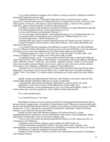5. Le scritture Ebraiche insegnano che il Messia è il nostro sacrificio. Hashem ha fornito il sangue dell'espiazione per noi oggi.

Yeshayahu (Isaia) 53:5-6 "5 Ma egli [il Messia] fu ferito a causa dei nostri crimini, schiacciati a causa dei nostri peccati; la disciplina che ci fa cadere tutti su di lui, e dai suoi lividi, siamo guariti. 6 Tutti noi, come pecore, siamo andati fuori strada; ci siamo rivolti, ognuno, a modo suo; eppure Adonai ha posto su di lui la colpa di tutti noi."

6. Hashem si assicurò che potessimo riconoscere il Messia con segni identificativi specifici.

• Era della famiglia di David. Yirmeyahu (Geremia) 23:5-6

• La sua città di nascita era Betlemme. Michea 5: 1

• Aveva una natura soprannaturale. Yirmeyahu (Geremia) 23:5-6, Yeshayahu (Isaia) 9:5-6

• La maniera della sua esecuzione era la crocifissione. Tehillim (Salmo) 22:14-17

• È risorto dalla morte. Tehillim (Salmo) 16:10

• Il tempo della sua venuta era prima della distruzione del Tempio di Erode. Daniel 9:26

Yeshua di Nazareth realizzò queste e molte altre profezie, il che rende improbabile una statistica di una su 10 !!

7. Le scritture Ebraiche insegnano che dobbiamo accettare il Messia. Per fede dobbiamo ricevere il Messia Yeshua nelle nostre vite per ricevere la salvezza di Hashem, avere una relazione personale con Lui e una vita soddisfacente. Puoi farlo adesso attraverso la preghiera.

• Yeshayahu (Isaia) 55:1 Tutti voi che avete sete, vieni all'acqua! Tu senza soldi, vieni, compra e mangia! Sì Vieni! Acquista vino e latte senza soldi, è gratis!

• Yeshayahu (Isaia) 1:16-19 ""Lavatevi puliti! Prendi le tue cattive azioni fuori dalla mia vista! Smetti di fare il male, impara a fare del bene! Cerca giustizia, allevia gli oppressi, difendi gli orfani, difendi la vedova. "Vieni ora", dice Adonai, "parliamo insieme. Anche se i tuoi peccati sono come scarlatti, saranno bianchi come la neve; anche se sono rossi come cremisi, saranno come la lana. Se sei disposto e ubbidiente, mangerai il bene della terra;"

• Romani 8:15-16 "Perché non hai ricevuto uno spirito di schiavitù per riportarti di nuovo nella paura; al contrario, hai ricevuto lo Spirito, che ci rende figli e per il cui potere gridiamo "Abba!" (cioè "Caro Padre!"). Lo Spirito stesso testimonia con i nostri spiriti che siamo figli di Dio:"

Quindi, il punto più importante dell'adesione a Beit Shalom è che siamo, prima di tutto, membri della famiglia di Hashem dalla nuova nascita, evidenziato:

• Internamente, dal testimone del Ruach, dallo Spirito, ai nostri spiriti, che siamo

perdonato e i nostri nomi scritti in Sefer HaKhiyeem, il libro della vita, e

• Relazionalmente, con un cambiamento di vita, con il frutto dello Spirito, Galati 5:22 amore, gioia, pace, pazienza, gentilezza, bontà, fedeltà, umiltà, autocontrollo.

II. Le nostre dichiarazioni:

A. La nostra Premessa: Chi siamo

Beit Shalom fa parte di un movimento mondiale di Congregazioni Messianiche di Ebrei e persone di tutti i gruppi etnici, che adorano Yeshua (Gesù) come il Messia nel contesto dello stile di vita e dell'identità dell'alleanza Ebraica. Questo è in accordo con l'antica promessa di Tehillim (Salmo) 147:2-3 che "Adonai sta ricostruendo Yerushalayim, radunando i dispersi di Israele. Guarisce i cuori spezzati e fascia le loro ferite".

Poiché le nostre radici dell'alleanza risalgono a B'resheet (Genesi) 12, siamo fondamentalmente un giudaismo, non un cristianesimo come spesso viene interpretato. Stiamo definendo il Cristianesimo come il movimento religioso che:

• Trova il suo vero nucleo nei principi spirituali del Messia e la Sua redenzione che è in correlazione con l'Ebraismo.

• Sostituisce altre pratiche religiose al posto delle feste della Torah, ecc.

• Prende le promesse spirituali di santità e vita eterna, date a tutti i credenti, come

l'adempimento e la cessazione dell'alleanza unica di Hashem, incentrata sulla Terra, con Israele. • Sostituisce il corpo dei credenti per il popolo di Israele

Pertanto, il nostro destino è fissato con coloro che condividono le promesse di Abrahamo, cioè il popolo Ebraico.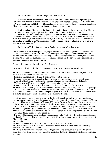#### B. La nostra dichiarazione di scopo: Perché Esistiamo

Lo scopo della Congregazione Messianica di Beit Shalom è partecipare e promulgare l'alleanza con Hashem fatta con Abramo e la sua prole in B'resheet (Genesi) 12:1-4 e confermata in Yirmeyahu (Geremia) 31:2-4, 31-37, per stabilire gli Ebrei come il Suo popolo, redento dal loro Messia, ed energizzato dal Suo Spirito per mantenere la Sua Torah.

Invitiamo i non Ebrei ad affiliarsi con noi e condividiamo la gloria, l'opera e le sofferenze di Israele, nel ruolo di gerim, gli stranieri assimilati tra il popolo di Israele. Non c'è differenziazione di ruolo, in termini di partecipazione alla comunità, e crediamo che non ci sia confusione di identità. Perché come si dice in 1Corinzi 7:19-20 "Essere circoncisi non significa nulla [nell'eternità], e non essere circoncisi significa nulla; cosa vuol dire qualcosa è mantenere i comandamenti di Hashem. Ogni persona dovrebbe rimanere nella condizione in cui si trovava quando è stato chiamato."

B. La nostra Vision Statement: cosa facciamo per soddisfare il nostro scopo

In Mishlei (Proverbi) 29:18 sopra citato, la parola ebraica traslitterata yipaara può essere intesa come "abbandonare, disturbare". Perciò è cruciale per una congregazione concentrarsi sulla realizzazione della sua visione e del suo scopo, quindi è energizzata e funzionale , non disturbato e dissipato. Coloro che guidano i capi ci esortano a riassumere. Le persone non ricordano interi sermoni, ricordano frasi e frasi chiave.

Pertanto, il riassunto della visione di Beit Shalom è:

Costruire un oleodotto di Ebreo Rinnovamento Yeshua, adempiendo Romani 11:15

• Edificio: tutti sono [o dovrebbero essere] attivamente coinvolti - nella preghiera, nello spirito, nella parola, nel sacrificio e nell'azione

• Pipeline: una sequenza collegata di opere d'amore e benedizione.

• Ebreo, il nostro cuore è di benedire il popolo Ebraico, prima di tutto. Tutti i popoli sono

benvenuti a Beit Shalom, ma la nostra passione è benedire e essere benedetti da Israele.

• Yeshua: senza di Lui non siamo nulla. Yochanan (Giovanni) 15:4

• Rinnovamento: il nostro lavoro deve essere nel Ruach, Z'kharyah (Zaccaria) 4: 6

• Romani 11:15 Quando gli Ebrei credono nel loro Messia e vivono Ebrei, farlo soddisfa gli scopi di Hashem e rilascia una benedizione a tutto il mondo. Quando gli Ebrei credono nel loro Messia e si integrano nel mondo della Chiesa, non partecipano al potere di questa promessa delle Scritture e, di fatto, contribuiscono alla diminuzione e alla morte di Israele.

L'outworking di questo è seguire le parole del Tanakh e degli scritti Messianici. Queste parole ispirate sono riassunte dal Messia quando gli fu chiesto qual è il più grande comandamento Marco 12:29-31. Ha risposto recitando lo Sh'ma e il V'ahavta Devarim (Deuteronomio) 6:4-5, a cui si è unito a Vayikra (Levitico) 19:18. I comandi della Torah sono che dobbiamo amare Hashem con tutto il nostro cuore, mente, anima e forza, e dobbiamo amare il nostro prossimo come noi stessi. • Con l'evangelismo: guidando i nostri figli e la nostra comunità Ebraica e non Ebraica verso il Messia e il suo potere di risurrezione nel Ruach HaKodesh. La relazione personale e l'intimità con il Messia e il Ruach sono il primo compito.

• Per Ebreo Messianico, culto e stile di vita incentrati sulla Torah, che riflette l'amore di Hashem per Israele Yochanan (Giovanni) 4:22, Romani 11:18), e fornisce una casa spirituale per i credenti Ebrei nel Messia.

• Educando:

\* Comunicare la visione della torcia e della Torah viventi. L'dor va-dor.

\* Impartire almeno le parti della vasta ricchezza di conoscenza Ebraica che sono rilevanti per comprendere Tanakh e il Messia.

\* Edificio della comunità: khavurah maschile [gruppo], sorellanza, gruppo giovanile, gruppi familiari, counseling, persone incoraggianti nelle loro chiamate e donazioni nel Ruach, assistenza ai poveri.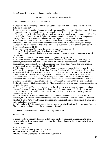C. La Nostra Dichiarazione di Fede: Ciò che Crediamo

sh'lay-ma beh-eh-mu-nah ma-a-meen A-nee

"Credo con una fede perfetta." [Maimonide]

1. Crediamo nella Scrittura [il Tanakh e gli Scritti Messianici] come la Parola ispirata di Dio. Tehillim (Salmo) 119:105

2. Riconosciamo l'unicità di Adonai, eppure Egli è anche Uno. Devarim (Deuteronomio) 6:4. (una comprensione sovra-razionale, ma non irrazionale, di HaKadosh, il Santo.)

3. Riconosciamo la divinità, la nascita verginale (le nascite miracolose non erano rare nel Tanakh, come il figlio di Sara Yitzchak, il figlio di Hannah Shmuel, ecc.), Miracoli, vita senza peccato, morte per procura, risurrezione, ascensione e ritorno previsto del Messia Yeshua.

4. Crediamo nella morte espiatoria del Messia come nostra kapparah, il nostro sacrificio espiatorio, e abbiamo sperimentato la rigenerazione dello Spirito Santo. Yeshayahu (Isaia) 53 5. Crediamo nella presenza dello Spirito Santo, che ci autorizza a vivere una vita santa ed efficace.

Yirmeyahu (Geremia) 31:33 6. Comprendiamo che c'è una vita da seguire per questa. Daniele 12:2-3

A. Per i salvati sarà l'eternità nella presenza di Hashem.

B. Per quelli separati da Hashem, rimarranno eternamente separati in una condizione di dannazione.

7. Crediamo di essere in unità con tutti i credenti, i Gentili o gli Ebrei.

8. Crediamo che esista un processo scritturale di risoluzione dei conflitti. Quando sorge un conflitto, andremo dall'individuo in uno spirito amorevole e riconoscente e cercheremo di ottenere la riconciliazione. Se ciò fallisce, cercheremo l'aiuto degli "uno o due" intermediari nominati dagli anziani Mattityahu (Matteo) 18:15-18.

9. Affermiamo che Yahadut, l'Ebraicità, è fondamentalmente un senso della chiamata di Dio a soddisfare il lato umano delle alleanze Dio fatte con Avraham, Yitzchak, Yaakov e Moshe. Dio sta tenendo fede alla Sua parte delle alleanze, che si basa sul comando e promette che Israele dovrebbe servire Hashem a tutte le generazioni, come Israele, con diritti sulla Terra e altre benedizioni (Beresheet (Genesi) 12:1-3, Yirmeyahu (Geremia) 33:25-26). La fede nel Messia di Israele non è in alcun modo in conflitto con queste alleanze. Hashem induce anche le persone Gentili ad identificarsi con gli Ebrei, come fece Ruth, per benedire, aiutare e servire Hashem Yeshayahu (Isaia) 49:22. È appropriato che Messianici, Ebrei e Gentili, siano in pratica identificati in modo Ebraico.

10. Secondo l'usanza Ebraica, come osservato dal Messia stesso, useremo circonlocuzioni come "Adonai" al posto del sacro Nome di Hashem. cioè il Tetragrammaton. Cioè, diremo termini come "HaShem" o "Adonai" ed eviteremo di usare "Yahweh" o "Jehovah" o altre pronunce speculative del YHVH.

11. Le tribù di Efraim e Manasse non sono le nazioni della Britannia e degli Stati Uniti. In generale, le 12 tribù sono state assorbite dal popolo chiamato con il termine "Ebrei". Ad esempio, nel libro di Ester "[c'era] un Ebreo, il cui nome era Mordechai figlio di Yahir, figlio di Shim io, il figlio di Kish, un Binyamin."

12. Coloro che si definiscono giustamente ebrei sono di origine Ebraica o di conversione formale. Finora, i messianici non hanno fatto conversioni formali.

D. La nostra dichiarazione sul metodo: ciò che pratichiamo

#### Stile di culto

Il nostro obiettivo è adorare Hashem nello Spirito e nella Verità, cioè, Giudaicamente, come definito nelle Scritture e interpretato nel corso dei millenni. Pertanto il nostro modello di culto include elementi come:

- Vacanze bibliche
- Sabbath [sabato] come giorno del nostro culto
- Banner Tehillim (Salmo) 20:5, 60.4
- Danza Tehillim (Salmo) 149:3, Yirmeyahu (Geremia) 31:13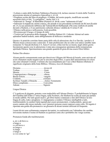• Lettura o canto delle Scritture Nekhemya (Neemia 8:8), incluso onorare il rotolo della Torah in processione attorno al santuario (Apocalisse 1:12-13)

• Preghiere scritte dal libro di preghiere, il Siddur, del nostro popolo, modificate secondo necessità (Atti 6:4 lett. "Le preghiere", anche Atti 3:1)

• Indossare le "frange" di Bamidbar (Numeri) 15:38-40, come "indumento di lode"

• Indossare la kippah (la calotta cranica, che prende il suo precedente scritturale da Sh'mot (Esodo) 28:1-4, la sua autenticità rabbinica dal Talmud (Rosh HaShannah 17b) come simbolo di umiltà davanti a Hashem, e il suo patrimonio culturale ebraico validità da I Corinzi 9:20)

• Ebraico nella prosa e nella poesia, il più possibile.

• Riverenza per il luogo e il tempo di culto

• Vestirsi per la presenza della sinagoga. Tehillim (Salmo) 29:2 Adorate Adonai nel santo splendore hadrat kodesh, santo abbigliamento di bellezza e modestia

Queste e le pratiche correlate fanno parte dello stile di adorazione che il re Davide, i profeti e il Messia stesso conoscevano e amavano. È stato profetizzato che un culto così antico sarebbe stato restaurato Tz'fanyah (Sofonia 3:9, Amos 9:11) nel, a-kha-reet ha-ya-meem, negli ultimi giorni. Incorporare queste cose in adorazione è stata una conseguenza spontanea della restaurazione spirituale Ebraica. Sperimentiamo una grande quantità di gioia divina essere Ebrei biblici.

#### Parlare Dio ebraico

Alcune parole comunemente usate per descrivere il Regno del Messia di Israele, sono arrivate ad avere sfumature molto negative per le orecchie degli Ebrei, a causa dell'antisemitismo di coloro che sono chiamati Cristiani. I termini che raccomandiamo per l'uso a Beit Shalom riflettono il significato originario della fonte Biblica / Ebraica, ricco di sfumature.

| Congregazione o Sinagogachiesa                |  |
|-----------------------------------------------|--|
|                                               |  |
|                                               |  |
| Scritture Tanakh o Ebraiche Antico Testamento |  |
|                                               |  |
|                                               |  |

#### Lingua Ebraica

C'è qualcosa di elegante, potente e non traducibile nell'idioma Ebraico. È probabilmente la lingua del Giardino dell'Eden e l'unica lingua, nelle Scritture, che Hashem ha scelto di usare per parlare in modo udibile. Per tutti questi motivi, gli Ebrei hanno continuato a fare dell'Ebraico la loro lingua di culto, lode e preghiera. Ci impegniamo a rendere l'Ebraico intelligibile a tutti, traslitterandolo in caratteri latini (quindi può essere pronunciato), e traducendolo, spesso per essere cantato alle stesse melodie, così i pensieri possono essere espressi come culto. Di seguito è riportata una guida alla pronuncia e un glossario di alcuni termini utilizzati di frequente.

I nomi divini sono solitamente composti da trattini, in conformità con l'abitudine che sarebbe irriverente mettere il nome di Hashem su qualsiasi carta che è probabile che venga scartata.

Pronuncia Guida alle traslitterazioni:

a, aw o ah breve a a lungo a e o eh breve e ee lungo e io lungo o lungo o u o oo come in "gu"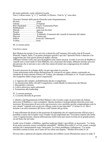kh suono gutturale, come schiarirsi la gola Non c'è alcun suono "g" o "j" morbido, in Ebraico. Tutte le "g" sono dure.

|                                      | Glossario limitato delle parole Ebraiche usate frequentemente |
|--------------------------------------|---------------------------------------------------------------|
|                                      |                                                               |
|                                      |                                                               |
| Brit ChadashahNuovo Testamento/Patto |                                                               |
|                                      |                                                               |
|                                      |                                                               |
|                                      |                                                               |
|                                      |                                                               |
|                                      |                                                               |
|                                      |                                                               |
| YeshuaGesù                           |                                                               |
|                                      |                                                               |

III. La nostra storia:

Una breve storia:

Beit Shalom ha iniziato il suo servizio a domicilio nell'autunno 2014 nella città di Pozzuoli (Puteoli), Napoli, Italia. È un punto strategico poiché è qui che l'apostolo Paolo è sbarcato e ha soggiornato per sette giorni prima di andare a Roma.

Abbiamo iniziato come una casa di preghiera (che siamo ancora), avendo il servizio di Shabbat il venerdì sera e osservando le feste Bibliche, ma col passare del tempo, abbiamo iniziato ad avere più persone che si univano a noi e alla fine siamo diventati una congregazione di credenti Messianici.

Il nostro processo di sviluppo della vita per agevolare la crescita:

Come menzionato nella nostra dichiarazione di visione di cui sopra, stiamo costruendo un oleodotto di rinnovamento Ebraico di Yeshua, che adempie ai Romani 11:15. Si può considerare che la pipeline abbia cinque pezzi sequenziali:

- 1. L'ingresso del contatto, probabilmente dal pre-evangelismo.
- 2. La trasmissione della vita dell'evangelismo, condividendo la redenzione del Messia.
- 3. Discepolato e tutorato
- 4. Coltiva attraverso studi settimanali.
- 5. Formazione alla leadership.

IV. La nostra struttura A. La nostra filosofia di governo

L'obiettivo del Regolamento di Beit Shalom è che il nostro corpo sia governato da Adonai, attraverso il Rabbino e i suoi consiglieri. Questa struttura è teologicamente descritta come una teocrazia. Riconosciamo di non avere una teocrazia vera e perfetta, perché comprendiamo solo la sua volontà "vedendo solo un povero riflesso come in uno specchio" 1 Corinzi 13:12. Ma il termine è un utile sommario del focus e dell'intento del governo.

È stato affermato da alcuni in alte posizioni di leadership che un'organizzazione efficace non è possibile a meno che la lealtà verso il leader sia più importante per i lavoratori rispetto alla lealtà verso l'organizzazione. Questa affermazione molto forte può essere la fonte di un grande potere, sia nel bene che nel male.

Lealtà verso il leader, o Rabbino, significa lealtà per dirgli i suoi difetti, se necessario. "Le ferite di un amico possono essere considerate attendibili". Mishlei (Proverbi) 27:6 Cioè, oranti, consigli amichevoli e ammonimenti sono i benvenuti. La critica arrabbiata è infruttuosa. "Un uomo irascibile scatena la lotta, ma il lento all'ira calma una disputa." Mishlei (Proverbi) 15:18

Diverse idee e opinioni divergenti sulla politica dovrebbero essere liberamente messe in onda. È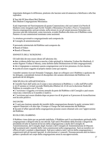importante dialogare le differenze, piuttosto che lasciare semi di amarezza a falsificare e alla fine esplodere.

K'hee-lah M'shee-kheet Beit Shalom Beit Shalom Congregazione Messianica

Il più importante nel funzionamento di questa Corporazione e dei suoi statuti è la Parola di Hashem come insegnata negli Scritti Tanakh e Messianico (Vecchio e Nuovo Testamento). Questa congregazione sarà governata, nella misura in cui gli umani possono formulare con successo una tale istituzione, come teocrazia, avendo Hashem alla testa con il Rabbino come Pastore e le sue commissioni nominate come assistenti.

La struttura governativa congregazionale sarà composta da:

● Consiglio di amministrazione

Il personale ministeriale del Rabbino sarà composto da:

- Board of Elders
- Board of Deacons

# IDONEITÀ DELL'SCRIZIONE –

Gli individui devono essere idonei all'adesione che:

● dare evidenza della loro nuova nascita e fede spirituali in Adoneinu Yeshua Ha-Mashiach, il nostro Signore Yeshua il Messia, come definito dalla Dichiarazione di fede congregazionale.

- che si impegnano a sostenere questa congregazione con la loro presenza e la loro decima
- accetta di essere soggetto al proprio statuto come qui esposto.

I membri saranno ricevuti firmando l'impegno, dopo un colloquio con il Rabbino o qualcuno da lui delegato, e prendendo lezioni di discepolato che saranno determinate dal Rabbino o da qualcuno da lui delegato.

# DISCIPLINA DI APPARTENENZA -

● I membri fuori dall'unità con il corpo o non sottomessi al Rabbino e / o allo staff (Proverbi) 6:16-19 saranno avvicinati secondo Mattityahu (Matteo) 18:15-18 con la decisione finale del Rabbino in consiglio con il Tavola.

● L'iscrizione è soggetta a revisione annuale da parte del Rabbino e del Consiglio e può essere rinnovata o interrotta se il membro è inattivo.

● L'iscrizione può essere disdetta dopo un preavviso di 30 giorni se il processo di riconciliazione non ha esito positivo.

# INCONTRI

● Ci sarà una riunione annuale dei membri della congregazione durante la quale verranno letti i rapporti finanziari e di altro tipo. Il tempo e il luogo che sarà annunciato dal Rabbino.

● Incontri d'affari speciali della congregazione possono essere chiamati solo con l'approvazione del Rabbino.

#### RUOLO DEL RABBINO:

Il Rabbino viene eletto per un periodo indefinito. Il Rabbino sarà il sovrintendente spirituale della congregazione e dirigerà tutte le sue attività. Egli sarà il Presidente della Società e fungerà da presidente di tutte le riunioni di lavoro della congregazione e anche del Consiglio di Amministrazione, del Consiglio degli Anziani e del Consiglio di Amministrazione di Diaconi. Egli nominerà tutti i membri delle varie commissioni nella congregazione. Sarà un membro exofficio di tutti i comitati o dipartimenti. Egli provvederà a tutti i servizi della congregazione e organizzerà tutti gli incontri speciali, le convenzioni o i concerti. Nessuna persona sarà invitata a parlare o predicare nel corpo della congregazione senza la sua approvazione.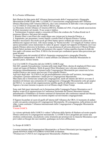B. La Nostra Affiliazione:

Beit Shalom ha fatto parte dell'Alleanza Internazionale delle Congregazioni e Sinagoghe Messianiche [IAMCS] dal 1998. Lo IAMCS è l'associazione congregazionale dell'Alleanza Ebraica Messianica dell'America [MJAA], che è una comunione di individui e non congregazioni. Cos'è il MJAA? [Trascritto dal sito MJAA MJAA.org]

La Messianic Jewish Alliance of America (MJAA), fondata nel 1915, è la più grande associazione di ebrei messianici nel mondo. Il suo scopo è triplice:

1. Testimoniare il numero ampio e crescente di Ebrei che credono che Yeshua (Gesù) sia il promesso Messia e Salvatore del mondo;

2. Riunire Ebrei e non Ebrei che condividono una visione per la rinascita Ebraica; e

3. Soprattutto, per presentare i nostri fratelli e sorelle Ebrei al Messia Ebraico Yeshua. Perché è necessario? Per molti secoli gli Ebrei hanno spesso sofferto per mano di coloro che si

definiscono seguaci di Gesù. Allo stesso tempo, la "buona novella" o il vangelo di Yeshua veniva spesso presentato senza menzionare le radici di questo vangelo nel rapporto di Hashem con il suo popolo Ebraico attraverso la Scrittura, e la sua promessa di salvezza attraverso il Messia Ebraico. Questi fattori portano molti Ebrei ad assumere che seguire Yeshua significa lasciare la fede dei loro padri e diventare non Ebrei. Il MJAA ha lavorato per combattere questa falsa percezione per quasi 90 anni.

La maggior parte dei membri di MJAA frequenta congregazioni e sinagoghe Ebraiche Messianiche indipendenti. Il MJAA è anche affiliato con alleanze Ebraiche Messianiche in quindici paesi, incluso Israele.

Cos'è lo IAMCS? [Trascritto dal sito IAMCS, IAMCS.org]

Dal 1967, quando Gerusalemme è tornata nelle mani degli Ebrei, decine di migliaia di Ebrei sono venuti nel regno di Hashem. Molti di questi Ebrei Messianici non volevano assimilarsi e iniziarono immediatamente a formarsi nelle Congregazioni Messianiche per conservare la loro eredità Ebraica e per essere una luce per il loro popolo Ebraico.

Agli inizi degli anni '70 il MJAA era già profondamente coinvolto nell'assistere, incoraggiare, consigliare e persino addestrare i leader per le Congregazioni Messianiche.

Man mano che si formavano sempre più congregazioni, molti all'interno del MJAA avevano il desiderio di formare una comunione di Congregazioni o Sinagoghe Messianiche sotto gli auspici del MJAA. Lo scopo di tale organizzazione sarebbe quello di rafforzarsi a vicenda, unirsi nel Signore e lavorare insieme in questo revival Ebraico degli Ultimi Tempi.

Sono stati fatti passi intermedi con la formazione della Compagnia Pastore Messianica con il duplice scopo di (1) sponsorizzare la Conferenza Nazionale dei Pastori Messianici (tenuta annualmente a Filadelfia) e (2) fornire seminari di formazione alle conferenze annuali del Messia. Entrambi questi eventi hanno un enorme impatto sul movimento congregazionale.

Il Signore ha parlato al cuore di quelli all'interno dell'Alleanza che ORA è il momento di andare avanti con questa comunione di Congregazioni Messianiche. Di conseguenza, nella primavera del 1986, è stata costituita l'Alleanza internazionale delle Congregazioni e Sinagoghe Messianiche (IAMCS).

# Visione IAMCS:

La visione spirituale dello IAMCS è vedere l'effusione dello Spirito di Hashem sul nostro popolo Ebraico attraverso le congregazioni messianiche. Lo IAMCS non è progettato per essere una struttura confessionale, ma piuttosto come strumento per promuovere la rinascita Messianica e per provvedere ai bisogni dei suoi membri, qualunque sia la loro affiliazione.

# Lo Scopo di IAMCS

Lavorare insieme alle Congregazioni Messianiche e ai Pastori Messianici per incoraggiare il grande RINNOVAMENTO EBREO ENDTIME di Hashem. • Promuovere l'UNITÀ tra Congregazioni Messianiche e Rabbini Messianici.